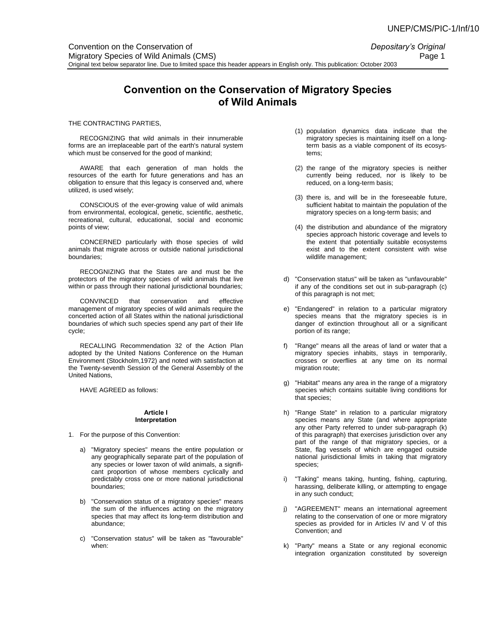# **Convention on the Conservation of Migratory Species of Wild Animals**

THE CONTRACTING PARTIES,

RECOGNIZING that wild animals in their innumerable forms are an irreplaceable part of the earth's natural system which must be conserved for the good of mankind;

AWARE that each generation of man holds the resources of the earth for future generations and has an obligation to ensure that this legacy is conserved and, where utilized, is used wisely;

CONSCIOUS of the ever-growing value of wild animals from environmental, ecological, genetic, scientific, aesthetic, recreational, cultural, educational, social and economic points of view;

CONCERNED particularly with those species of wild animals that migrate across or outside national jurisdictional boundaries;

RECOGNIZING that the States are and must be the protectors of the migratory species of wild animals that live within or pass through their national jurisdictional boundaries;

CONVINCED that conservation and effective management of migratory species of wild animals require the concerted action of all States within the national jurisdictional boundaries of which such species spend any part of their life cycle;

RECALLING Recommendation 32 of the Action Plan adopted by the United Nations Conference on the Human Environment (Stockholm,1972) and noted with satisfaction at the Twenty-seventh Session of the General Assembly of the United Nations,

HAVE AGREED as follows:

#### **Article I Interpretation**

- 1. For the purpose of this Convention:
	- a) "Migratory species" means the entire population or any geographically separate part of the population of any species or lower taxon of wild animals, a significant proportion of whose members cyclically and predictably cross one or more national jurisdictional boundaries;
	- b) "Conservation status of a migratory species" means the sum of the influences acting on the migratory species that may affect its long-term distribution and abundance;
	- c) "Conservation status" will be taken as "favourable" when:
- (1) population dynamics data indicate that the migratory species is maintaining itself on a longterm basis as a viable component of its ecosystems;
- (2) the range of the migratory species is neither currently being reduced, nor is likely to be reduced, on a long-term basis;
- (3) there is, and will be in the foreseeable future, sufficient habitat to maintain the population of the migratory species on a long-term basis; and
- (4) the distribution and abundance of the migratory species approach historic coverage and levels to the extent that potentially suitable ecosystems exist and to the extent consistent with wise wildlife management;
- d) "Conservation status" will be taken as "unfavourable" if any of the conditions set out in sub-paragraph (c) of this paragraph is not met;
- e) "Endangered" in relation to a particular migratory species means that the migratory species is in danger of extinction throughout all or a significant portion of its range;
- f) "Range" means all the areas of land or water that a migratory species inhabits, stays in temporarily, crosses or overflies at any time on its normal migration route;
- g) "Habitat" means any area in the range of a migratory species which contains suitable living conditions for that species;
- h) "Range State" in relation to a particular migratory species means any State (and where appropriate any other Party referred to under sub-paragraph (k) of this paragraph) that exercises jurisdiction over any part of the range of that migratory species, or a State, flag vessels of which are engaged outside national jurisdictional limits in taking that migratory species;
- i) "Taking" means taking, hunting, fishing, capturing, harassing, deliberate killing, or attempting to engage in any such conduct;
- j) "AGREEMENT" means an international agreement relating to the conservation of one or more migratory species as provided for in Articles IV and V of this Convention; and
- k) "Party" means a State or any regional economic integration organization constituted by sovereign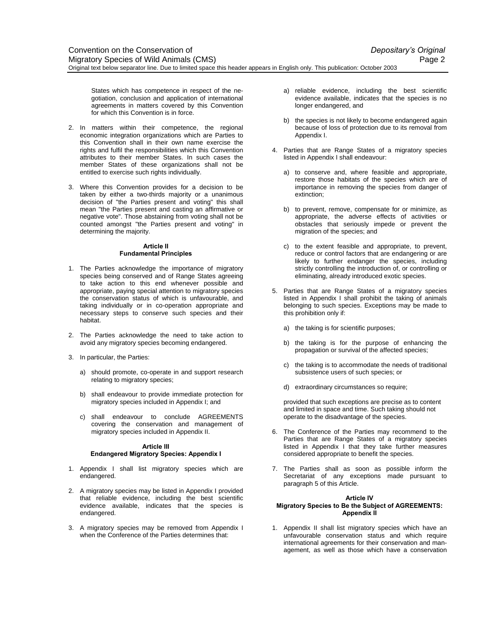States which has competence in respect of the negotiation, conclusion and application of international agreements in matters covered by this Convention for which this Convention is in force.

- 2. In matters within their competence, the regional economic integration organizations which are Parties to this Convention shall in their own name exercise the rights and fulfil the responsibilities which this Convention attributes to their member States. In such cases the member States of these organizations shall not be entitled to exercise such rights individually.
- 3. Where this Convention provides for a decision to be taken by either a two-thirds majority or a unanimous decision of "the Parties present and voting" this shall mean "the Parties present and casting an affirmative or negative vote". Those abstaining from voting shall not be counted amongst "the Parties present and voting" in determining the majority.

#### **Article II Fundamental Principles**

- 1. The Parties acknowledge the importance of migratory species being conserved and of Range States agreeing to take action to this end whenever possible and appropriate, paying special attention to migratory species the conservation status of which is unfavourable, and taking individually or in co-operation appropriate and necessary steps to conserve such species and their habitat.
- 2. The Parties acknowledge the need to take action to avoid any migratory species becoming endangered.
- 3. In particular, the Parties:
	- a) should promote, co-operate in and support research relating to migratory species;
	- b) shall endeavour to provide immediate protection for migratory species included in Appendix I; and
	- c) shall endeavour to conclude AGREEMENTS covering the conservation and management of migratory species included in Appendix II.

#### **Article III Endangered Migratory Species: Appendix I**

- 1. Appendix I shall list migratory species which are endangered.
- 2. A migratory species may be listed in Appendix I provided that reliable evidence, including the best scientific evidence available, indicates that the species is endangered.
- 3. A migratory species may be removed from Appendix I when the Conference of the Parties determines that:
- a) reliable evidence, including the best scientific evidence available, indicates that the species is no longer endangered, and
- b) the species is not likely to become endangered again because of loss of protection due to its removal from Appendix I.
- 4. Parties that are Range States of a migratory species listed in Appendix I shall endeavour:
	- a) to conserve and, where feasible and appropriate, restore those habitats of the species which are of importance in removing the species from danger of extinction;
	- b) to prevent, remove, compensate for or minimize, as appropriate, the adverse effects of activities or obstacles that seriously impede or prevent the migration of the species; and
	- c) to the extent feasible and appropriate, to prevent, reduce or control factors that are endangering or are likely to further endanger the species, including strictly controlling the introduction of, or controlling or eliminating, already introduced exotic species.
- 5. Parties that are Range States of a migratory species listed in Appendix I shall prohibit the taking of animals belonging to such species. Exceptions may be made to this prohibition only if:
	- a) the taking is for scientific purposes;
	- b) the taking is for the purpose of enhancing the propagation or survival of the affected species;
	- c) the taking is to accommodate the needs of traditional subsistence users of such species; or
	- d) extraordinary circumstances so require;

provided that such exceptions are precise as to content and limited in space and time. Such taking should not operate to the disadvantage of the species.

- 6. The Conference of the Parties may recommend to the Parties that are Range States of a migratory species listed in Appendix I that they take further measures considered appropriate to benefit the species.
- 7. The Parties shall as soon as possible inform the Secretariat of any exceptions made pursuant to paragraph 5 of this Article.

#### **Article IV Migratory Species to Be the Subject of AGREEMENTS: Appendix II**

1. Appendix II shall list migratory species which have an unfavourable conservation status and which require international agreements for their conservation and management, as well as those which have a conservation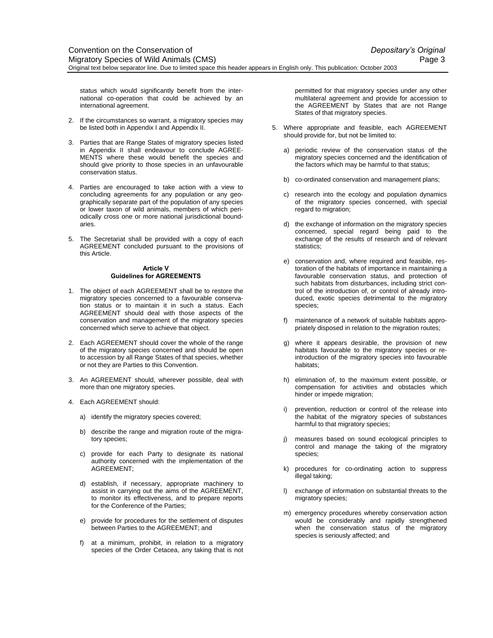status which would significantly benefit from the international co-operation that could be achieved by an

2. If the circumstances so warrant, a migratory species may be listed both in Appendix I and Appendix II.

international agreement.

- 3. Parties that are Range States of migratory species listed in Appendix II shall endeavour to conclude AGREE-MENTS where these would benefit the species and should give priority to those species in an unfavourable conservation status.
- 4. Parties are encouraged to take action with a view to concluding agreements for any population or any geographically separate part of the population of any species or lower taxon of wild animals, members of which periodically cross one or more national jurisdictional boundaries.
- 5. The Secretariat shall be provided with a copy of each AGREEMENT concluded pursuant to the provisions of this Article.

#### **Article V Guidelines for AGREEMENTS**

- 1. The object of each AGREEMENT shall be to restore the migratory species concerned to a favourable conservation status or to maintain it in such a status. Each AGREEMENT should deal with those aspects of the conservation and management of the migratory species concerned which serve to achieve that object.
- 2. Each AGREEMENT should cover the whole of the range of the migratory species concerned and should be open to accession by all Range States of that species, whether or not they are Parties to this Convention.
- 3. An AGREEMENT should, wherever possible, deal with more than one migratory species.
- 4. Each AGREEMENT should:
	- a) identify the migratory species covered;
	- b) describe the range and migration route of the migratory species;
	- c) provide for each Party to designate its national authority concerned with the implementation of the AGREEMENT;
	- d) establish, if necessary, appropriate machinery to assist in carrying out the aims of the AGREEMENT, to monitor its effectiveness, and to prepare reports for the Conference of the Parties;
	- e) provide for procedures for the settlement of disputes between Parties to the AGREEMENT; and
	- f) at a minimum, prohibit, in relation to a migratory species of the Order Cetacea, any taking that is not

permitted for that migratory species under any other multilateral agreement and provide for accession to the AGREEMENT by States that are not Range States of that migratory species.

- 5. Where appropriate and feasible, each AGREEMENT should provide for, but not be limited to:
	- a) periodic review of the conservation status of the migratory species concerned and the identification of the factors which may be harmful to that status;
	- b) co-ordinated conservation and management plans;
	- c) research into the ecology and population dynamics of the migratory species concerned, with special regard to migration;
	- d) the exchange of information on the migratory species concerned, special regard being paid to the exchange of the results of research and of relevant statistics;
	- e) conservation and, where required and feasible, restoration of the habitats of importance in maintaining a favourable conservation status, and protection of such habitats from disturbances, including strict control of the introduction of, or control of already introduced, exotic species detrimental to the migratory species;
	- f) maintenance of a network of suitable habitats appropriately disposed in relation to the migration routes;
	- g) where it appears desirable, the provision of new habitats favourable to the migratory species or reintroduction of the migratory species into favourable habitats;
	- h) elimination of, to the maximum extent possible, or compensation for activities and obstacles which hinder or impede migration;
	- i) prevention, reduction or control of the release into the habitat of the migratory species of substances harmful to that migratory species;
	- j) measures based on sound ecological principles to control and manage the taking of the migratory species;
	- k) procedures for co-ordinating action to suppress illegal taking;
	- l) exchange of information on substantial threats to the migratory species;
	- m) emergency procedures whereby conservation action would be considerably and rapidly strengthened when the conservation status of the migratory species is seriously affected; and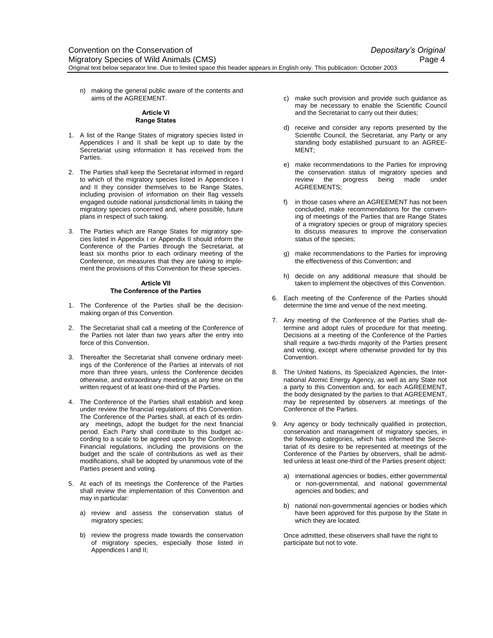n) making the general public aware of the contents and aims of the AGREEMENT.

#### **Article VI Range States**

- 1. A list of the Range States of migratory species listed in Appendices I and II shall be kept up to date by the Secretariat using information it has received from the Parties.
- 2. The Parties shall keep the Secretariat informed in regard to which of the migratory species listed in Appendices I and II they consider themselves to be Range States, including provision of information on their flag vessels engaged outside national jurisdictional limits in taking the migratory species concerned and, where possible, future plans in respect of such taking.
- 3. The Parties which are Range States for migratory species listed in Appendix I or Appendix II should inform the Conference of the Parties through the Secretariat, at least six months prior to each ordinary meeting of the Conference, on measures that they are taking to implement the provisions of this Convention for these species.

#### **Article VII The Conference of the Parties**

- 1. The Conference of the Parties shall be the decisionmaking organ of this Convention.
- 2. The Secretariat shall call a meeting of the Conference of the Parties not later than two years after the entry into force of this Convention.
- 3. Thereafter the Secretariat shall convene ordinary meetings of the Conference of the Parties at intervals of not more than three years, unless the Conference decides otherwise, and extraordinary meetings at any time on the written request of at least one-third of the Parties.
- 4. The Conference of the Parties shall establish and keep under review the financial regulations of this Convention. The Conference of the Parties shall, at each of its ordinary meetings, adopt the budget for the next financial period. Each Party shall contribute to this budget according to a scale to be agreed upon by the Conference. Financial regulations, including the provisions on the budget and the scale of contributions as well as their modifications, shall be adopted by unanimous vote of the Parties present and voting.
- 5. At each of its meetings the Conference of the Parties shall review the implementation of this Convention and may in particular:
	- a) review and assess the conservation status of migratory species;
	- b) review the progress made towards the conservation of migratory species, especially those listed in Appendices I and II;
- c) make such provision and provide such guidance as may be necessary to enable the Scientific Council and the Secretariat to carry out their duties;
- d) receive and consider any reports presented by the Scientific Council, the Secretariat, any Party or any standing body established pursuant to an AGREE-MENT;
- e) make recommendations to the Parties for improving the conservation status of migratory species and<br>review the progress being made under review the progress being made under AGREEMENTS;
- in those cases where an AGREEMENT has not been concluded, make recommendations for the convening of meetings of the Parties that are Range States of a migratory species or group of migratory species to discuss measures to improve the conservation status of the species;
- g) make recommendations to the Parties for improving the effectiveness of this Convention; and
- h) decide on any additional measure that should be taken to implement the objectives of this Convention.
- 6. Each meeting of the Conference of the Parties should determine the time and venue of the next meeting.
- 7. Any meeting of the Conference of the Parties shall determine and adopt rules of procedure for that meeting. Decisions at a meeting of the Conference of the Parties shall require a two-thirds majority of the Parties present and voting, except where otherwise provided for by this Convention.
- 8. The United Nations, its Specialized Agencies, the International Atomic Energy Agency, as well as any State not a party to this Convention and, for each AGREEMENT, the body designated by the parties to that AGREEMENT, may be represented by observers at meetings of the Conference of the Parties.
- 9. Any agency or body technically qualified in protection, conservation and management of migratory species, in the following categories, which has informed the Secretariat of its desire to be represented at meetings of the Conference of the Parties by observers, shall be admitted unless at least one-third of the Parties present object:
	- a) international agencies or bodies, either governmental or non-governmental, and national governmental agencies and bodies; and
	- b) national non-governmental agencies or bodies which have been approved for this purpose by the State in which they are located.

Once admitted, these observers shall have the right to participate but not to vote.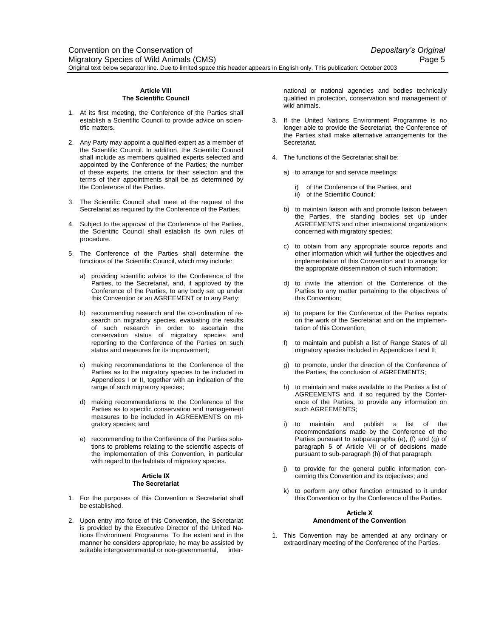#### **Article VIII The Scientific Council**

- 1. At its first meeting, the Conference of the Parties shall establish a Scientific Council to provide advice on scientific matters.
- 2. Any Party may appoint a qualified expert as a member of the Scientific Council. In addition, the Scientific Council shall include as members qualified experts selected and appointed by the Conference of the Parties; the number of these experts, the criteria for their selection and the terms of their appointments shall be as determined by the Conference of the Parties.
- 3. The Scientific Council shall meet at the request of the Secretariat as required by the Conference of the Parties.
- 4. Subject to the approval of the Conference of the Parties, the Scientific Council shall establish its own rules of procedure.
- 5. The Conference of the Parties shall determine the functions of the Scientific Council, which may include:
	- a) providing scientific advice to the Conference of the Parties, to the Secretariat, and, if approved by the Conference of the Parties, to any body set up under this Convention or an AGREEMENT or to any Party;
	- b) recommending research and the co-ordination of research on migratory species, evaluating the results of such research in order to ascertain the conservation status of migratory species and reporting to the Conference of the Parties on such status and measures for its improvement;
	- c) making recommendations to the Conference of the Parties as to the migratory species to be included in Appendices I or II, together with an indication of the range of such migratory species;
	- d) making recommendations to the Conference of the Parties as to specific conservation and management measures to be included in AGREEMENTS on migratory species; and
	- e) recommending to the Conference of the Parties solutions to problems relating to the scientific aspects of the implementation of this Convention, in particular with regard to the habitats of migratory species.

#### **Article IX The Secretariat**

- 1. For the purposes of this Convention a Secretariat shall be established.
- 2. Upon entry into force of this Convention, the Secretariat is provided by the Executive Director of the United Nations Environment Programme. To the extent and in the manner he considers appropriate, he may be assisted by suitable intergovernmental or non-governmental, inter-

national or national agencies and bodies technically qualified in protection, conservation and management of wild animals.

- 3. If the United Nations Environment Programme is no longer able to provide the Secretariat, the Conference of the Parties shall make alternative arrangements for the Secretariat.
- 4. The functions of the Secretariat shall be:
	- a) to arrange for and service meetings:
		- i) of the Conference of the Parties, and
		- ii) of the Scientific Council;
	- b) to maintain liaison with and promote liaison between the Parties, the standing bodies set up under AGREEMENTS and other international organizations concerned with migratory species;
	- c) to obtain from any appropriate source reports and other information which will further the objectives and implementation of this Convention and to arrange for the appropriate dissemination of such information;
	- d) to invite the attention of the Conference of the Parties to any matter pertaining to the objectives of this Convention;
	- e) to prepare for the Conference of the Parties reports on the work of the Secretariat and on the implementation of this Convention;
	- f) to maintain and publish a list of Range States of all migratory species included in Appendices I and II;
	- g) to promote, under the direction of the Conference of the Parties, the conclusion of AGREEMENTS;
	- h) to maintain and make available to the Parties a list of AGREEMENTS and, if so required by the Conference of the Parties, to provide any information on such AGREEMENTS;
	- i) to maintain and publish a list of the recommendations made by the Conference of the Parties pursuant to subparagraphs (e), (f) and (g) of paragraph 5 of Article VII or of decisions made pursuant to sub-paragraph (h) of that paragraph;
	- j) to provide for the general public information concerning this Convention and its objectives; and
	- k) to perform any other function entrusted to it under this Convention or by the Conference of the Parties.

#### **Article X Amendment of the Convention**

1. This Convention may be amended at any ordinary or extraordinary meeting of the Conference of the Parties.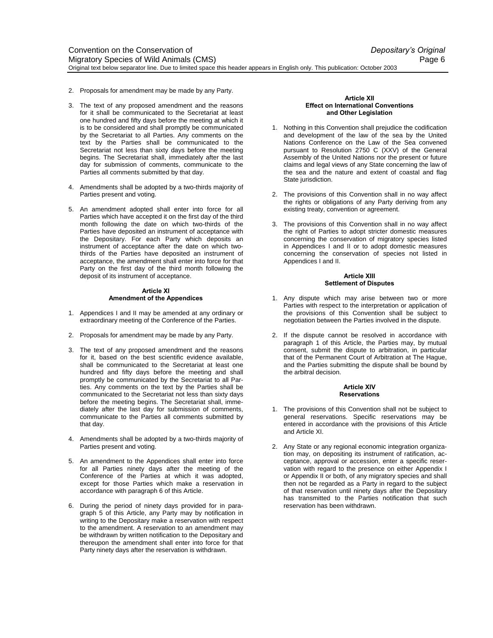- 2. Proposals for amendment may be made by any Party.
- 3. The text of any proposed amendment and the reasons for it shall be communicated to the Secretariat at least one hundred and fifty days before the meeting at which it is to be considered and shall promptly be communicated by the Secretariat to all Parties. Any comments on the text by the Parties shall be communicated to the Secretariat not less than sixty days before the meeting begins. The Secretariat shall, immediately after the last day for submission of comments, communicate to the Parties all comments submitted by that day.
- 4. Amendments shall be adopted by a two-thirds majority of Parties present and voting.
- 5. An amendment adopted shall enter into force for all Parties which have accepted it on the first day of the third month following the date on which two-thirds of the Parties have deposited an instrument of acceptance with the Depositary. For each Party which deposits an instrument of acceptance after the date on which twothirds of the Parties have deposited an instrument of acceptance, the amendment shall enter into force for that Party on the first day of the third month following the deposit of its instrument of acceptance.

#### **Article XI Amendment of the Appendices**

- 1. Appendices I and II may be amended at any ordinary or extraordinary meeting of the Conference of the Parties.
- 2. Proposals for amendment may be made by any Party.
- 3. The text of any proposed amendment and the reasons for it, based on the best scientific evidence available, shall be communicated to the Secretariat at least one hundred and fifty days before the meeting and shall promptly be communicated by the Secretariat to all Parties. Any comments on the text by the Parties shall be communicated to the Secretariat not less than sixty days before the meeting begins. The Secretariat shall, immediately after the last day for submission of comments, communicate to the Parties all comments submitted by that day.
- 4. Amendments shall be adopted by a two-thirds majority of Parties present and voting.
- 5. An amendment to the Appendices shall enter into force for all Parties ninety days after the meeting of the Conference of the Parties at which it was adopted, except for those Parties which make a reservation in accordance with paragraph 6 of this Article.
- 6. During the period of ninety days provided for in paragraph 5 of this Article, any Party may by notification in writing to the Depositary make a reservation with respect to the amendment. A reservation to an amendment may be withdrawn by written notification to the Depositary and thereupon the amendment shall enter into force for that Party ninety days after the reservation is withdrawn.

#### **Article XII Effect on International Conventions and Other Legislation**

- 1. Nothing in this Convention shall prejudice the codification and development of the law of the sea by the United Nations Conference on the Law of the Sea convened pursuant to Resolution 2750 C (XXV) of the General Assembly of the United Nations nor the present or future claims and legal views of any State concerning the law of the sea and the nature and extent of coastal and flag State jurisdiction.
- 2. The provisions of this Convention shall in no way affect the rights or obligations of any Party deriving from any existing treaty, convention or agreement.
- 3. The provisions of this Convention shall in no way affect the right of Parties to adopt stricter domestic measures concerning the conservation of migratory species listed in Appendices I and II or to adopt domestic measures concerning the conservation of species not listed in Appendices I and II.

#### **Article XIII Settlement of Disputes**

- 1. Any dispute which may arise between two or more Parties with respect to the interpretation or application of the provisions of this Convention shall be subject to negotiation between the Parties involved in the dispute.
- 2. If the dispute cannot be resolved in accordance with paragraph 1 of this Article, the Parties may, by mutual consent, submit the dispute to arbitration, in particular that of the Permanent Court of Arbitration at The Hague, and the Parties submitting the dispute shall be bound by the arbitral decision.

#### **Article XIV Reservations**

- 1. The provisions of this Convention shall not be subject to general reservations. Specific reservations may be entered in accordance with the provisions of this Article and Article XI.
- 2. Any State or any regional economic integration organization may, on depositing its instrument of ratification, acceptance, approval or accession, enter a specific reservation with regard to the presence on either Appendix I or Appendix II or both, of any migratory species and shall then not be regarded as a Party in regard to the subject of that reservation until ninety days after the Depositary has transmitted to the Parties notification that such reservation has been withdrawn.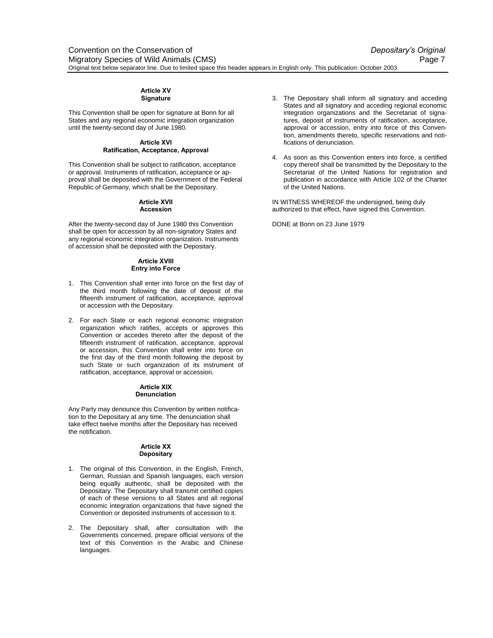#### **Article XV Signature**

This Convention shall be open for signature at Bonn for all States and any regional economic integration organization until the twenty-second day of June 1980.

#### **Article XVI Ratification, Acceptance, Approval**

This Convention shall be subject to ratification, acceptance or approval. Instruments of ratification, acceptance or approval shall be deposited with the Government of the Federal Republic of Germany, which shall be the Depositary.

#### **Article XVII Accession**

After the twenty-second day of June 1980 this Convention shall be open for accession by all non-signatory States and any regional economic integration organization. Instruments of accession shall be deposited with the Depositary.

#### **Article XVIII Entry into Force**

- 1. This Convention shall enter into force on the first day of the third month following the date of deposit of the fifteenth instrument of ratification, acceptance, approval or accession with the Depositary.
- 2. For each State or each regional economic integration organization which ratifies, accepts or approves this Convention or accedes thereto after the deposit of the fifteenth instrument of ratification, acceptance, approval or accession, this Convention shall enter into force on the first day of the third month following the deposit by such State or such organization of its instrument of ratification, acceptance, approval or accession.

#### **Article XIX Denunciation**

Any Party may denounce this Convention by written notification to the Depositary at any time. The denunciation shall take effect twelve months after the Depositary has received the notification.

#### **Article XX Depositary**

- 1. The original of this Convention, in the English, French, German, Russian and Spanish languages, each version being equally authentic, shall be deposited with the Depositary. The Depositary shall transmit certified copies of each of these versions to all States and all regional economic integration organizations that have signed the Convention or deposited instruments of accession to it.
- 2. The Depositary shall, after consultation with the Governments concerned, prepare official versions of the text of this Convention in the Arabic and Chinese languages.
- 3. The Depositary shall inform all signatory and acceding States and all signatory and acceding regional economic integration organizations and the Secretariat of signatures, deposit of instruments of ratification, acceptance, approval or accession, entry into force of this Convention, amendments thereto, specific reservations and notifications of denunciation.
- 4. As soon as this Convention enters into force, a certified copy thereof shall be transmitted by the Depositary to the Secretariat of the United Nations for registration and publication in accordance with Article 102 of the Charter of the United Nations.

IN WITNESS WHEREOF the undersigned, being duly authorized to that effect, have signed this Convention.

DONE at Bonn on 23 June 1979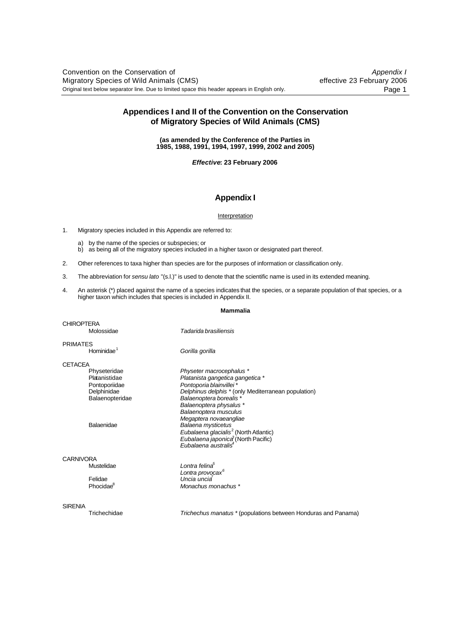### **Appendices I and II of the Convention on the Conservation of Migratory Species of Wild Animals (CMS)**

**(as amended by the Conference of the Parties in 1985, 1988, 1991, 1994, 1997, 1999, 2002 and 2005)**

*Effective***: 23 February 2006**

## **Appendix I**

#### **Interpretation**

- 1. Migratory species included in this Appendix are referred to:
	- a) by the name of the species or subspecies; or
	- b) as being all of the migratory species included in a higher taxon or designated part thereof.
- 2. Other references to taxa higher than species are for the purposes of information or classification only.
- 3. The abbreviation for *sensu lato* "(s.l.)" is used to denote that the scientific name is used in its extended meaning.
- 4. An asterisk (\*) placed against the name of a species indicates that the species, or a separate population of that species, or a higher taxon which includes that species is included in Appendix II.

#### **Mammalia**

| <b>CHIROPTERA</b> |                        |                                                                       |
|-------------------|------------------------|-----------------------------------------------------------------------|
|                   | Molossidae             | Tadarida brasiliensis                                                 |
| PRIMATES          |                        |                                                                       |
|                   | Hominidae <sup>1</sup> | Gorilla gorilla                                                       |
| CETACEA           |                        |                                                                       |
|                   | Physeteridae           | Physeter macrocephalus *                                              |
|                   | Platanistidae          | Platanista gangetica gangetica *                                      |
|                   | Pontoporiidae          | Pontoporia blainvillei *                                              |
|                   | Delphinidae            | Delphinus delphis * (only Mediterranean population)                   |
|                   | Balaenopteridae        | Balaenoptera borealis *                                               |
|                   |                        | Balaenoptera physalus *                                               |
|                   |                        | Balaenoptera musculus<br>Megaptera novaeangliae                       |
|                   | Balaenidae             | Balaena mysticetus                                                    |
|                   |                        | Eubalaena glacialis <sup>2</sup> (North Atlantic)                     |
|                   |                        | Eubalaena japonica <sup>3</sup> (North Pacific)                       |
|                   |                        | Eubalaena australis <sup>4</sup>                                      |
| CARNIVORA         |                        |                                                                       |
|                   | Mustelidae             | Lontra felina <sup>5</sup>                                            |
|                   |                        | Lontra provocax <sup>6</sup>                                          |
|                   | Felidae                | Uncia uncia                                                           |
|                   | Phocidae <sup>8</sup>  | Monachus monachus *                                                   |
|                   |                        |                                                                       |
| <b>SIRENIA</b>    |                        |                                                                       |
|                   | Trichechidae           | <i>Trichechus manatus</i> * (populations between Honduras and Panama) |
|                   |                        |                                                                       |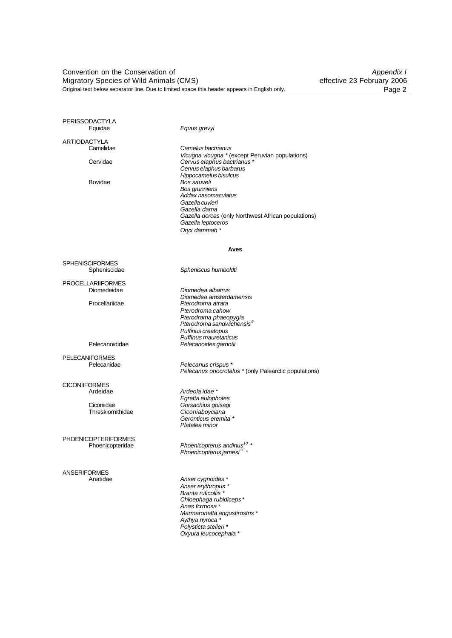#### Convention on the Conservation of *Appendix I* Migratory Species of Wild Animals (CMS) effective 23 February 2006 Original text below separator line. Due to limited space this header appears in English only. Page 2

Equidae *Equus grevyi*

# PERISSODACTYLA<br>Equidae

ARTIODACTYLA Camelidae

Cervidae

*Camelus bactrianus Vicugna vicugna \** (except Peruvian populations) *Cervus elaphus bactrianus \* Cervus elaphus barbarus Hippocamelus bisulcus* Bovidae *Bos sauveli Bos grunniens Addax nasomaculatus Gazella cuvieri Gazella dama Gazella dorcas* (only Northwest African populations) *Gazella leptoceros Oryx dammah \**

#### **Aves**

SPHENISCIFORMES<br>Spheniscidae

PROCELLARIIFORMES Diomedeidae

Procellariidae

#### Pelecanoididae

PELECANIFORMES<br>Pelecanidae

**CICONIIFORMES** Ardeidae

> Ciconiidae **Threskiornithidae**

PHOENICOPTERIFORMES<br>Phoenicopteridae

ANSERIFORMES<br>Anatidae

*Diomedea amsterdamensis*

Spheniscidae *Spheniscus humboldti*

*Diomedea albatrus*

*Pterodroma atrata Pterodroma cahow Pterodroma phaeopygia Pterodroma sandwichensis<sup>9</sup> Puffinus creatopus Puffinus mauretanicus Pelecanoides garnotii*

Pelecanus crispus \* *Pelecanus onocrotalus \** (only Palearctic populations)

*Ardeola idae \* Egretta eulophotes Gorsachius goisagi Ciconia boyciana Geronticus eremita \* Platalea minor*

Phoenicopteridae *Phoenicopterus andinus<sup>10</sup>*\* *Phoenicopterus jamesi<sup>11</sup> \**

Anser cygnoides \* *Anser erythropus \* Branta ruficollis \* Chloephaga rubidiceps* \* *Anas formosa \* Marmaronetta angustirostris \* Aythya nyroca \* Polysticta stelleri \* Oxyura leucocephala \**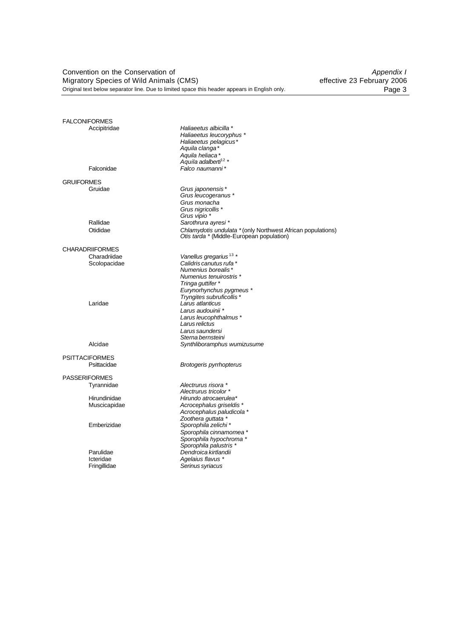Convention on the Conservation of *Appendix I*<br>Migratory Species of Wild Animals (CMS) effective 23 February 2006<br>Original text below separator line. Due to limited space this header appears in English only. Page 3 Migratory Species of Wild Animals (CMS) effective 23 February 2006 Original text below separator line. Due to limited space this header appears in English only.  $\qquad \qquad$   $\qquad \qquad$   $\qquad \qquad$   $\qquad$ 

|                   | <b>FALCONIFORMES</b>      |                                                                                                                                                       |
|-------------------|---------------------------|-------------------------------------------------------------------------------------------------------------------------------------------------------|
|                   | Accipitridae              | Haliaeetus albicilla *<br>Haliaeetus leucoryphus *<br>Haliaeetus pelagicus*<br>Aquila clanga*<br>Aquila heliaca*                                      |
|                   | Falconidae                | Aquila adalberti <sup>12</sup> *<br>Falco naumanni*                                                                                                   |
| <b>GRUIFORMES</b> |                           |                                                                                                                                                       |
|                   | Gruidae                   | Grus japonensis*<br>Grus leucogeranus *<br>Grus monacha<br>Grus nigricollis *<br>Grus vipio *                                                         |
|                   | Rallidae                  | Sarothrura ayresi *                                                                                                                                   |
|                   | Otididae                  | Chlamydotis undulata * (only Northwest African populations)<br>Otis tarda * (Middle-European population)                                              |
|                   | <b>CHARADRIIFORMES</b>    |                                                                                                                                                       |
|                   | Charadriidae              | Vanellus gregarius <sup>13</sup> *                                                                                                                    |
|                   | Scolopacidae              | Calidris canutus rufa *<br>Numenius borealis*<br>Numenius tenuirostris *<br>Tringa guttifer *<br>Eurynorhynchus pygmeus *<br>Tryngites subruficollis* |
|                   | Laridae                   | Larus atlanticus<br>Larus audouinii *<br>Larus leucophthalmus *<br>Larus relictus<br>Larus saundersi<br>Sterna bernsteini                             |
|                   | Alcidae                   | Synthliboramphus wumizusume                                                                                                                           |
|                   | <b>PSITTACIFORMES</b>     |                                                                                                                                                       |
|                   | Psittacidae               | <b>Brotogeris pyrrhopterus</b>                                                                                                                        |
|                   | <b>PASSERIFORMES</b>      |                                                                                                                                                       |
|                   | Tyrannidae                | Alectrurus risora *<br>Alectrurus tricolor *                                                                                                          |
|                   | Hirundinidae              | Hirundo atrocaerulea*                                                                                                                                 |
|                   | Muscicapidae              | Acrocephalus griseldis *<br>Acrocephalus paludicola *                                                                                                 |
|                   | Emberizidae               | Zoothera guttata *<br>Sporophila zelichi *<br>Sporophila cinnamomea *<br>Sporophila hypochroma *<br>Sporophila palustris *                            |
|                   | Parulidae                 | Dendroica kirtlandii                                                                                                                                  |
|                   | Icteridae<br>Fringillidae | Agelaius flavus *<br>Serinus syriacus                                                                                                                 |
|                   |                           |                                                                                                                                                       |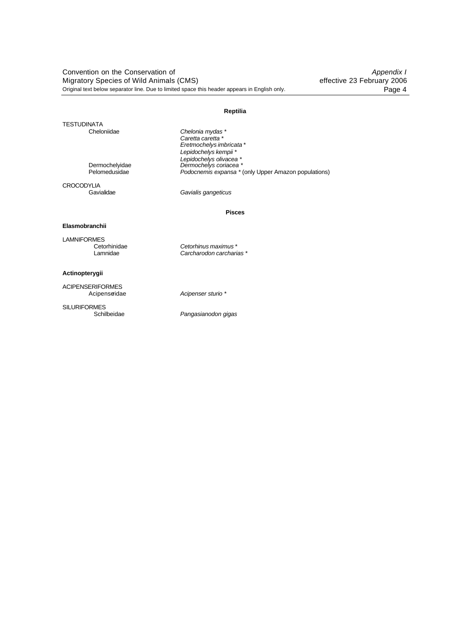Convention on the Conservation of *Appendix I* Migratory Species of Wild Animals (CMS) Original text below separator line. Due to limited space this header appears in English only. Page 4

### **Reptilia**

TESTUDINATA<br>Cheloniidae

Dermochelyidae Pelomedusidae

**CROCODYLIA Gavialidae** 

*Gavialis gangeticus*

*Dermochelys coriacea \**

Chelonia mydas \* *Caretta caretta \* Eretmochelys imbricata \* Lepidochelys kempii \* Lepidochelys olivacea \**

**Pisces**

*Podocnemis expansa \** (only Upper Amazon populations)

#### **Elasmobranchii**

LAMNIFORMES Cetorhinidae Lamnidae

*Cetorhinus maximus \* Carcharodon carcharias \**

### **Actinopterygii**

ACIPENSERIFORMES Acipenseridae

SILURIFORMES Schilbeidae *Acipenser sturio \**

*Pangasianodon gigas*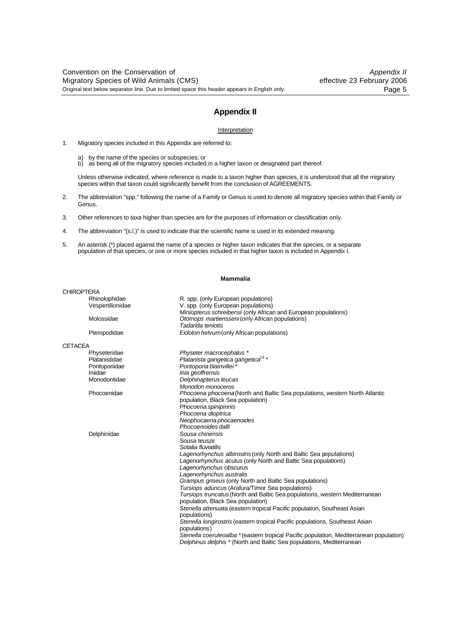# **Appendix II**

#### Interpretation

- 1. Migratory species included in this Appendix are referred to:
	- a) by the name of the species or subspecies; or
	- b) as being all of the migratory species included in a higher taxon or designated part thereof.

Unless otherwise indicated, where reference is made to a taxon higher than species, it is understood that all the migratory species within that taxon could significantly benefit from the conclusion of AGREEMENTS.

- 2. The abbreviation "spp." following the name of a Family or Genus is used to denote all migratory species within that Family or Genus.
- 3. Other references to taxa higher than species are for the purposes of information or classification only.
- 4. The abbreviation "(s.l.)" is used to indicate that the scientific name is used in its extended meaning.
- 5. An asterisk (\*) placed against the name of a species or higher taxon indicates that the species, or a separate population of that species, or one or more species included in that higher taxon is included in Appendix I.

#### **Mammalia**

| <b>CHIROPTERA</b> |                                                                                         |
|-------------------|-----------------------------------------------------------------------------------------|
| Rhinolophidae     | R. spp. (only European populations)                                                     |
| Vespertilionidae  | V. spp. (only European populations)                                                     |
|                   | Miniopterus schreibersii (only African and European populations)                        |
| Molossidae        | Otomops martiensseni (only African populations)                                         |
|                   | Tadarida teniotis                                                                       |
| Pteropodidae      | Eidolon helvum (only African populations)                                               |
| <b>CETACEA</b>    |                                                                                         |
| Physeteridae      | Physeter macrocephalus *                                                                |
| Platanistidae     | Platanista gangetica gangetica <sup>14</sup> *                                          |
| Pontoporiidae     | Pontoporia blainvillei *                                                                |
| Iniidae           | Inia geoffrensis                                                                        |
| Monodontidae      | Delphinapterus leucas                                                                   |
|                   | Monodon monoceros                                                                       |
| Phocoenidae       | Phocoena phocoena (North and Baltic Sea populations, western North Atlantic             |
|                   | population, Black Sea population)                                                       |
|                   | Phocoena spinipinnis                                                                    |
|                   | Phocoena dioptrica                                                                      |
|                   | Neophocaena phocaenoides                                                                |
|                   | Phocoenoides dalli                                                                      |
| Delphinidae       | Sousa chinensis                                                                         |
|                   | Sousa teuszii                                                                           |
|                   | Sotalia fluviatilis                                                                     |
|                   | Lagenorhynchus albirostris (only North and Baltic Sea populations)                      |
|                   | Lagenorhynchus acutus (only North and Baltic Sea populations)                           |
|                   | Lagenorhynchus obscurus                                                                 |
|                   | Lagenorhynchus australis                                                                |
|                   | Grampus griseus (only North and Baltic Sea populations)                                 |
|                   | Tursiops aduncus (Arafura/Timor Sea populations)                                        |
|                   | Tursiops truncatus (North and Baltic Sea populations, western Mediterranean             |
|                   | population, Black Sea population)                                                       |
|                   | Stenella attenuata (eastern tropical Pacific population, Southeast Asian                |
|                   | populations)                                                                            |
|                   | Stenella longirostris (eastern tropical Pacific populations, Southeast Asian            |
|                   | populations)                                                                            |
|                   | Stenella coeruleoalba * (eastern tropical Pacific population, Mediterranean population) |
|                   | Delphinus delphis * (North and Baltic Sea populations, Mediterranean                    |
|                   |                                                                                         |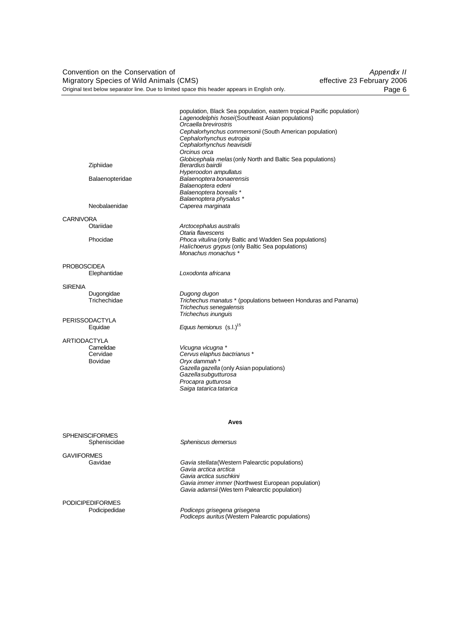Migratory Species of Wild Animals (CMS)

Original text below separator line. Due to limited space this header appears in English only.

Convention on the Conservation of *Appendix II*<br>Migratory Species of Wild Animals (CMS) effective 23 February 2006<br>Original text below separator line. Due to limited space this header appears in English only. Page 6

|                     |                            | population, Black Sea population, eastern tropical Pacific population)<br>Lagenodelphis hosei (Southeast Asian populations)<br>Orcaella brevirostris |
|---------------------|----------------------------|------------------------------------------------------------------------------------------------------------------------------------------------------|
|                     |                            | Cephalorhynchus commersonii (South American population)<br>Cephalorhynchus eutropia<br>Cephalorhynchus heavisidii                                    |
|                     |                            | Orcinus orca                                                                                                                                         |
|                     | Ziphiidae                  | Globicephala melas (only North and Baltic Sea populations)<br>Berardius bairdii                                                                      |
|                     |                            | Hyperoodon ampullatus                                                                                                                                |
|                     | Balaenopteridae            | Balaenoptera bonaerensis<br>Balaenoptera edeni                                                                                                       |
|                     |                            | Balaenoptera borealis *                                                                                                                              |
|                     |                            | Balaenoptera physalus *                                                                                                                              |
|                     | Neobalaenidae              | Caperea marginata                                                                                                                                    |
| <b>CARNIVORA</b>    |                            |                                                                                                                                                      |
|                     | Otariidae                  | Arctocephalus australis                                                                                                                              |
|                     |                            | Otaria flavescens                                                                                                                                    |
|                     | Phocidae                   | <i>Phoca vitulina</i> (only Baltic and Wadden Sea populations)                                                                                       |
|                     |                            | Halichoerus grypus (only Baltic Sea populations)                                                                                                     |
|                     |                            | Monachus monachus *                                                                                                                                  |
| <b>PROBOSCIDEA</b>  |                            |                                                                                                                                                      |
|                     | Elephantidae               | Loxodonta africana                                                                                                                                   |
|                     |                            |                                                                                                                                                      |
| <b>SIRENIA</b>      |                            |                                                                                                                                                      |
|                     | Dugongidae<br>Trichechidae | Dugong dugon<br>Trichechus manatus * (populations between Honduras and Panama)                                                                       |
|                     |                            | Trichechus senegalensis                                                                                                                              |
|                     |                            | Trichechus inunguis                                                                                                                                  |
|                     | PERISSODACTYLA             |                                                                                                                                                      |
|                     | Equidae                    | Equus hemionus $(s.l.)^{15}$                                                                                                                         |
| <b>ARTIODACTYLA</b> |                            |                                                                                                                                                      |
|                     | Camelidae                  | Vicugna vicugna *                                                                                                                                    |
|                     | Cervidae                   | Cervus elaphus bactrianus *                                                                                                                          |
|                     | Bovidae                    | Oryx dammah*                                                                                                                                         |
|                     |                            | Gazella gazella (only Asian populations)                                                                                                             |
|                     |                            | Gazella subgutturosa<br>Procapra gutturosa                                                                                                           |
|                     |                            | Saiga tatarica tatarica                                                                                                                              |
|                     |                            |                                                                                                                                                      |
|                     |                            |                                                                                                                                                      |
|                     |                            |                                                                                                                                                      |
|                     |                            | Aves                                                                                                                                                 |
|                     |                            |                                                                                                                                                      |
|                     | <b>SPHENISCIFORMES</b>     |                                                                                                                                                      |
|                     | Spheniscidae               | Spheniscus demersus                                                                                                                                  |
| <b>GAVIIFORMES</b>  |                            |                                                                                                                                                      |
|                     | Gavidae                    | Gavia stellata (Western Palearctic populations)                                                                                                      |
|                     |                            | Gavia arctica arctica                                                                                                                                |
|                     |                            | Gavia arctica suschkini                                                                                                                              |
|                     |                            | Gavia immer immer (Northwest European population)                                                                                                    |
|                     |                            | Gavia adamsii (Wes tern Palearctic population)                                                                                                       |

PODICIPEDIFORMES

Podicipedidae *Podiceps grisegena grisegena Podiceps auritus* (Western Palearctic populations)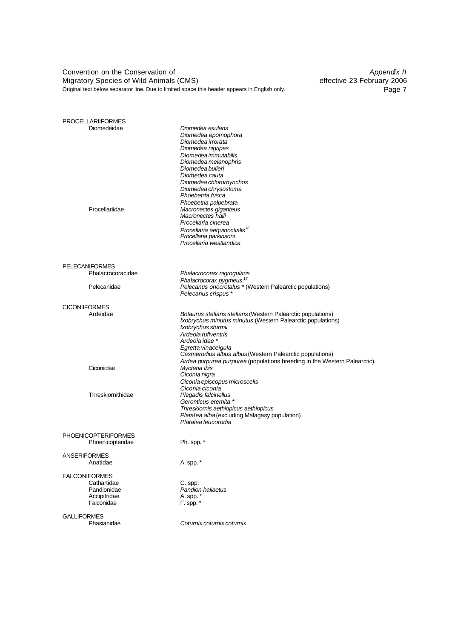Convention on the Conservation of *Appendix II*<br>Migratory Species of Wild Animals (CMS) effective 23 February 2006<br>Original text below separator line. Due to limited space this header appears in English only. Page 7 Migratory Species of Wild Animals (CMS) effective 23 February 2006 Original text below separator line. Due to limited space this header appears in English only.  $\qquad \qquad$  Page 7

| <b>PROCELLARIIFORMES</b>                                                         |                                                                                                                                                                                                                                                                                                                                                                                                                                               |
|----------------------------------------------------------------------------------|-----------------------------------------------------------------------------------------------------------------------------------------------------------------------------------------------------------------------------------------------------------------------------------------------------------------------------------------------------------------------------------------------------------------------------------------------|
| Diomedeidae<br>Procellariidae                                                    | Diomedea exulans<br>Diomedea epomophora<br>Diomedea irrorata<br>Diomedea nigripes<br>Diomedea immutabilis<br>Diomedea melanophris<br>Diomedea bulleri<br>Diomedea cauta<br>Diomedea chlororhynchos<br>Diomedea chrysostoma<br>Phoebetria fusca<br>Phoebetria palpebrata<br>Macronectes giganteus<br>Macronectes halli<br>Procellaria cinerea<br>Procellaria aequinoctialis <sup>16</sup><br>Procellaria parkinsoni<br>Procellaria westlandica |
| <b>PELECANIFORMES</b><br>Phalacrocoracidae                                       | Phalacrocorax nigrogularis                                                                                                                                                                                                                                                                                                                                                                                                                    |
| Pelecanidae                                                                      | Phalacrocorax pygmeus <sup>17</sup><br>Pelecanus onocrotalus * (Western Palearctic populations)<br>Pelecanus crispus *                                                                                                                                                                                                                                                                                                                        |
| <b>CICONIIFORMES</b>                                                             |                                                                                                                                                                                                                                                                                                                                                                                                                                               |
| Ardeidae                                                                         | Botaurus stellaris stellaris (Western Palearctic populations)<br>Ixobrychus minutus minutus (Western Palearctic populations)<br>Ixobrychus sturmii<br>Ardeola rufiventris<br>Ardeola idae *<br>Egretta vinaceigula<br>Casmerodius albus albus (Western Palearctic populations)<br>Ardea purpurea purpurea (populations breeding in the Western Palearctic)                                                                                    |
| Ciconiidae                                                                       | Mycteria ibis<br>Ciconia nigra<br>Ciconia episcopus microscelis                                                                                                                                                                                                                                                                                                                                                                               |
| Threskiornithidae                                                                | Ciconia ciconia<br>Plegadis falcinellus<br>Geronticus eremita *<br>Threskiornis aethiopicus aethiopicus<br>Platalea alba (excluding Malagasy population)<br>Platalea leucorodia                                                                                                                                                                                                                                                               |
| <b>PHOENICOPTERIFORMES</b><br>Phoenicopteridae                                   | Ph. spp. *                                                                                                                                                                                                                                                                                                                                                                                                                                    |
| <b>ANSERIFORMES</b><br>Anatidae                                                  | A. spp. $*$                                                                                                                                                                                                                                                                                                                                                                                                                                   |
| <b>FALCONIFORMES</b><br>Cathartidae<br>Pandionidae<br>Accipitridae<br>Falconidae | C. spp.<br>Pandion haliaetus<br>A. spp. *<br>F. spp. *                                                                                                                                                                                                                                                                                                                                                                                        |
| <b>GALLIFORMES</b><br>Phasianidae                                                | Coturnix coturnix coturnix                                                                                                                                                                                                                                                                                                                                                                                                                    |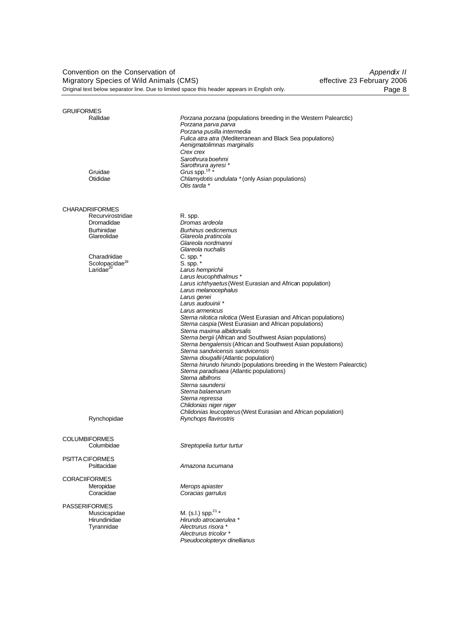Convention on the Conservation of *Appendix II*<br>Migratory Species of Wild Animals (CMS) effective 23 February 2006<br>Original text below separator line. Due to limited space this header appears in English only. Page 8 Migratory Species of Wild Animals (CMS) effective 23 February 2006 Original text below separator line. Due to limited space this header appears in English only. Page 8

| <b>GRUIFORMES</b>                                                                            |                                                                                                                                                                                                                                                                                                                                                                                                                                                                                                                                                                                                                                                                                                                                                                                                                                                                                                                                                                   |  |  |  |
|----------------------------------------------------------------------------------------------|-------------------------------------------------------------------------------------------------------------------------------------------------------------------------------------------------------------------------------------------------------------------------------------------------------------------------------------------------------------------------------------------------------------------------------------------------------------------------------------------------------------------------------------------------------------------------------------------------------------------------------------------------------------------------------------------------------------------------------------------------------------------------------------------------------------------------------------------------------------------------------------------------------------------------------------------------------------------|--|--|--|
| Rallidae                                                                                     | Porzana porzana (populations breeding in the Western Palearctic)<br>Porzana parva parva<br>Porzana pusilla intermedia<br>Fulica atra atra (Mediterranean and Black Sea populations)<br>Aenigmatolimnas marginalis<br>Crex crex<br>Sarothrura boehmi                                                                                                                                                                                                                                                                                                                                                                                                                                                                                                                                                                                                                                                                                                               |  |  |  |
| Gruidae<br>Otididae                                                                          | Sarothrura ayresi *<br>Grus spp. $18 \times 10^{-18}$<br>Chlamydotis undulata * (only Asian populations)<br>Otis tarda *                                                                                                                                                                                                                                                                                                                                                                                                                                                                                                                                                                                                                                                                                                                                                                                                                                          |  |  |  |
| <b>CHARADRIIFORMES</b><br>Recurvirostridae<br>Dromadidae<br><b>Burhinidae</b><br>Glareolidae | R. spp.<br>Dromas ardeola<br>Burhinus oedicnemus<br>Glareola pratincola                                                                                                                                                                                                                                                                                                                                                                                                                                                                                                                                                                                                                                                                                                                                                                                                                                                                                           |  |  |  |
| Charadriidae<br>Scolopacidae <sup>19</sup><br>Laridae $^{20}$<br>Rynchopidae                 | Glareola nordmanni<br>Glareola nuchalis<br>$C.$ spp. $*$<br>$S.$ spp. $*$<br>Larus hemprichii<br>Larus leucophthalmus *<br>Larus ichthyaetus (West Eurasian and African population)<br>Larus melanocephalus<br>Larus genei<br>Larus audouinii *<br>Larus armenicus<br>Sterna nilotica nilotica (West Eurasian and African populations)<br>Sterna caspia (West Eurasian and African populations)<br>Sterna maxima albidorsalis<br>Sterna bergii (African and Southwest Asian populations)<br>Sterna bengalensis (African and Southwest Asian populations)<br>Sterna sandvicensis sandvicensis<br>Sterna dougallii (Atlantic population)<br>Sterna hirundo hirundo (populations breeding in the Western Palearctic)<br>Sterna paradisaea (Atlantic populations)<br>Sterna albifrons<br>Sterna saundersi<br>Sterna balaenarum<br>Sterna repressa<br>Chlidonias niger niger<br>Chlidonias leucopterus (West Eurasian and African population)<br>Rynchops flavirostris |  |  |  |
| <b>COLUMBIFORMES</b><br>Columbidae                                                           | Streptopelia turtur turtur                                                                                                                                                                                                                                                                                                                                                                                                                                                                                                                                                                                                                                                                                                                                                                                                                                                                                                                                        |  |  |  |
| PSITTA CIFORMES<br>Psittacidae                                                               | Amazona tucumana                                                                                                                                                                                                                                                                                                                                                                                                                                                                                                                                                                                                                                                                                                                                                                                                                                                                                                                                                  |  |  |  |
| <b>CORACIIFORMES</b><br>Meropidae<br>Coraciidae                                              | Merops apiaster<br>Coracias garrulus                                                                                                                                                                                                                                                                                                                                                                                                                                                                                                                                                                                                                                                                                                                                                                                                                                                                                                                              |  |  |  |
| <b>PASSERIFORMES</b><br>Muscicapidae<br>Hirundinidae<br>Tyrannidae                           | M. (s.l.) $sp2^{1*}$<br>Hirundo atrocaerulea *<br>Alectrurus risora *<br>Alectrurus tricolor *<br>Pseudocolopteryx dinellianus                                                                                                                                                                                                                                                                                                                                                                                                                                                                                                                                                                                                                                                                                                                                                                                                                                    |  |  |  |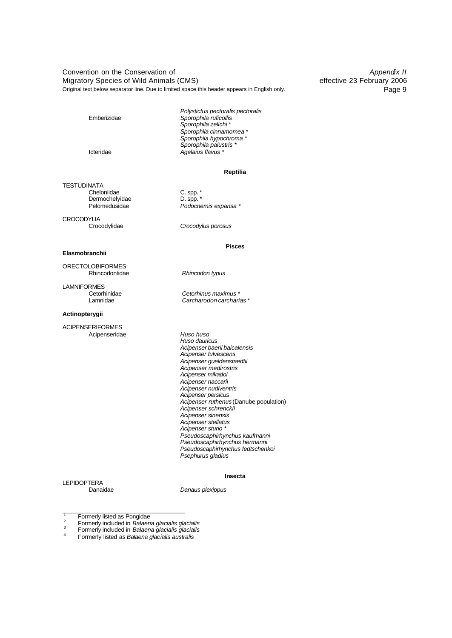#### Convention on the Conservation of *Appendix II* Migratory Species of Wild Animals (CMS) effective 23 February 2006 Original text below separator line. Due to limited space this header appears in English only. Page 9

Emberizidae

Icteridae

*Sporophila cinnamomea \* Sporophila hypochroma \* Sporophila palustris \* Agelaius flavus \**

#### **Reptilia**

TESTUDINATA

Cheloniidae Dermochelyidae Pelomedusidae

CROCODYLIA<br>Crocodylidae

D. spp. \* *Podocnemis expansa \**

Crocodylidae *Crocodylus porosus*

#### **Pisces**

**Rhincodon typus** 

Lamnidae *Carcharodon carcharias \**

LAMNIFORMES<br>Cetorhinidae Cetorhinidae *Cetorhinus maximus \**

ORECTOLOBIFORMES

#### **Actinopterygii**

**Elasmobranchii**

ACIPENSERIFORMES Acipenseridae *Huso huso*

*Huso dauricus Acipenser baerii baicalensis Acipenser fulvescens Acipenser gueldenstaedtii Acipenser medirostris Acipenser mikadoi Acipenser naccarii Acipenser nudiventris Acipenser persicus Acipenser ruthenus* (Danube population) *Acipenser schrenckii Acipenser sinensis Acipenser stellatus Acipenser sturio \* Pseudoscaphirhynchus kaufmanni Pseudoscaphirhynchus hermanni Pseudoscaphirhynchus fedtschenkoi Psephurus gladius*

# LEPIDOPTERA<br>Danaidae

#### **Insecta**

Danaus plexippus

<sup>2</sup> Formerly included in *Balaena glacialis glacialis*

 $\frac{1}{2}$  , and the set of the set of the set of the set of the set of the set of the set of the set of the set of the set of the set of the set of the set of the set of the set of the set of the set of the set of the set

- <sup>3</sup> Formerly included in *Balaena glacialis glacialis*
- <sup>4</sup> Formerly listed as *Balaena glacialis australis*

C. spp. \*

*Polystictus pectoralis pectoralis*

*Sporophila ruficollis Sporophila zelichi \**

<sup>&</sup>lt;sup>1</sup> Formerly listed as Pongidae